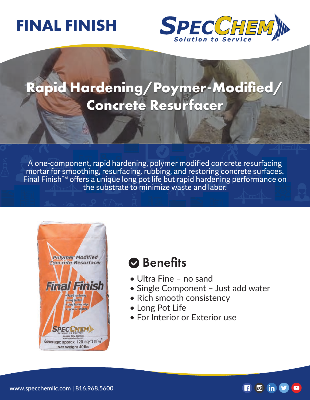# **FINAL FINISH**



## **Rapid Hardening/Poymer-Modified/ Concrete Resurfacer**

A one-component, rapid hardening, polymer modified concrete resurfacing mortar for smoothing, resurfacing, rubbing, and restoring concrete surfaces. Final Finish™ offers a unique long pot life but rapid hardening performance on the substrate to minimize waste and labor.



### **Benefits**

- Ultra Fine no sand
- Single Component Just add water
- Rich smooth consistency
- Long Pot Life
- For Interior or Exterior use